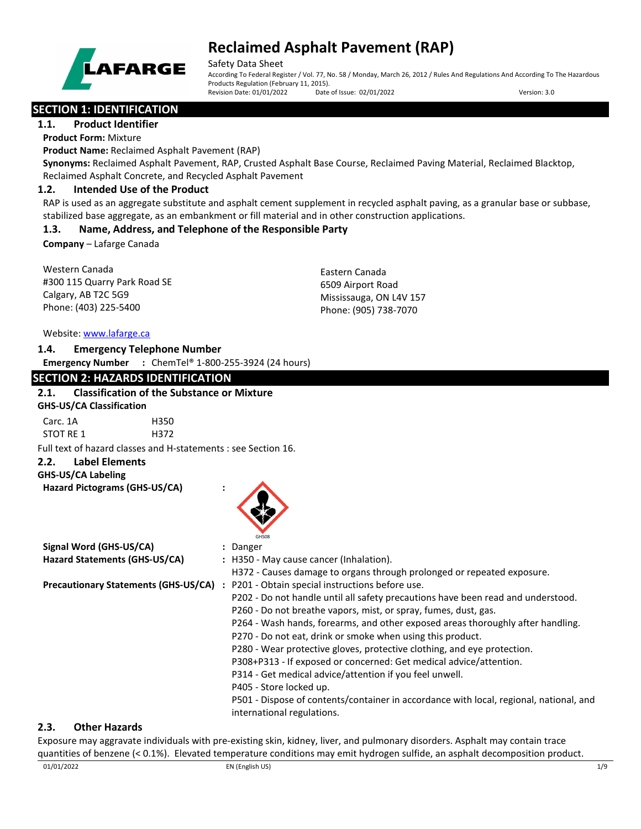

Safety Data Sheet

According To Federal Register / Vol. 77, No. 58 / Monday, March 26, 2012 / Rules And Regulations And According To The Hazardous Products Regulation (February 11, 2015). Revision Date: 01/01/2022 Date of Issue: 02/01/2022 Version: 3.0

# **SECTION 1: IDENTIFICATION**

**1.1. Product Identifier**

**Product Form:** Mixture

**Product Name:** Reclaimed Asphalt Pavement (RAP)

**Synonyms:** Reclaimed Asphalt Pavement, RAP, Crusted Asphalt Base Course, Reclaimed Paving Material, Reclaimed Blacktop, Reclaimed Asphalt Concrete, and Recycled Asphalt Pavement

## **1.2. Intended Use of the Product**

RAP is used as an aggregate substitute and asphalt cement supplement in recycled asphalt paving, as a granular base or subbase, stabilized base aggregate, as an embankment or fill material and in other construction applications.

## **1.3. Name, Address, and Telephone of the Responsible Party**

**Company** – Lafarge Canada

Western Canada #300 115 Quarry Park Road SE Calgary, AB T2C 5G9 Phone: (403) 225-5400

Eastern Canada 6509 Airport Road Mississauga, ON L4V 157 Phone: (905) 738-7070

#### Website: [www.lafarge.ca](file://leon/customers/CUSTOMERS/Lafarge_North_America_Inc/Projects/Authoring_20180316/Batch_Folder/B_Draft_SDS/MS_Word_Files/www.lafarge.ca)

#### **1.4. Emergency Telephone Number**

**Emergency Number :** ChemTel® 1-800-255-3924 (24 hours)

## **SECTION 2: HAZARDS IDENTIFICATION**

## **2.1. Classification of the Substance or Mixture GHS-US/CA Classification**

| Carc. 1A  |  | H350 |
|-----------|--|------|
| STOT RE 1 |  | H372 |
|           |  |      |

Full text of hazard classes and H-statements : see Section 16.

## **2.2. Label Elements**

**GHS-US/CA Labeling Hazard Pictograms (GHS-US/CA) :**

| GHS08 |  |
|-------|--|

| Signal Word (GHS-US/CA)                     | : Danger                                                                               |
|---------------------------------------------|----------------------------------------------------------------------------------------|
| Hazard Statements (GHS-US/CA)               | : H350 - May cause cancer (Inhalation).                                                |
|                                             | H372 - Causes damage to organs through prolonged or repeated exposure.                 |
| <b>Precautionary Statements (GHS-US/CA)</b> | P201 - Obtain special instructions before use.                                         |
|                                             | P202 - Do not handle until all safety precautions have been read and understood.       |
|                                             | P260 - Do not breathe vapors, mist, or spray, fumes, dust, gas.                        |
|                                             | P264 - Wash hands, forearms, and other exposed areas thoroughly after handling.        |
|                                             | P270 - Do not eat, drink or smoke when using this product.                             |
|                                             | P280 - Wear protective gloves, protective clothing, and eye protection.                |
|                                             | P308+P313 - If exposed or concerned: Get medical advice/attention.                     |
|                                             | P314 - Get medical advice/attention if you feel unwell.                                |
|                                             | P405 - Store locked up.                                                                |
|                                             | P501 - Dispose of contents/container in accordance with local, regional, national, and |
|                                             | international regulations.                                                             |

## **2.3. Other Hazards**

Exposure may aggravate individuals with pre-existing skin, kidney, liver, and pulmonary disorders. Asphalt may contain trace quantities of benzene (< 0.1%). Elevated temperature conditions may emit hydrogen sulfide, an asphalt decomposition product.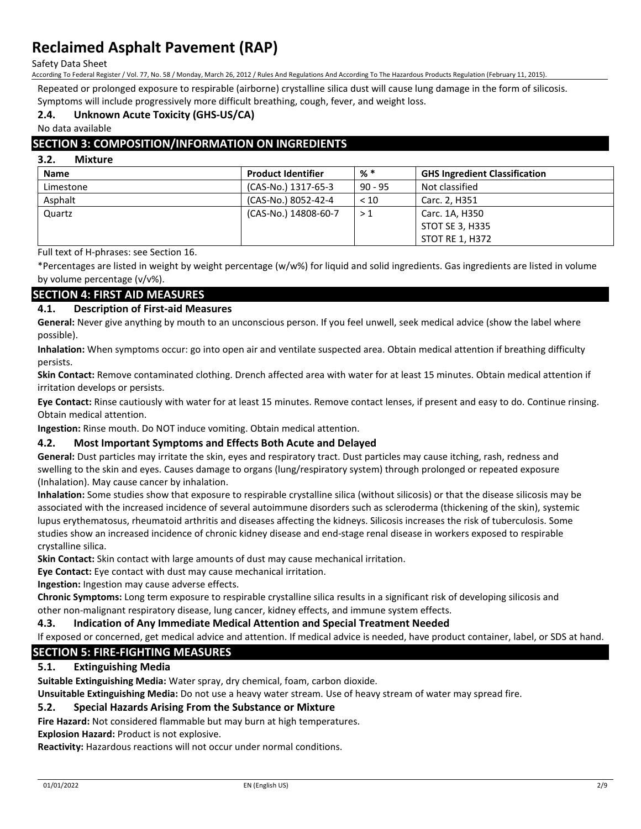Safety Data Sheet

According To Federal Register / Vol. 77, No. 58 / Monday, March 26, 2012 / Rules And Regulations And According To The Hazardous Products Regulation (February 11, 2015).

Repeated or prolonged exposure to respirable (airborne) crystalline silica dust will cause lung damage in the form of silicosis. Symptoms will include progressively more difficult breathing, cough, fever, and weight loss.

# **2.4. Unknown Acute Toxicity (GHS-US/CA)**

No data available

## **SECTION 3: COMPOSITION/INFORMATION ON INGREDIENTS**

#### **3.2. Mixture**

| <b>Name</b> | <b>Product Identifier</b> | % *       | <b>GHS Ingredient Classification</b> |
|-------------|---------------------------|-----------|--------------------------------------|
| Limestone   | (CAS-No.) 1317-65-3       | $90 - 95$ | Not classified                       |
| Asphalt     | (CAS-No.) 8052-42-4       | < 10      | Carc. 2, H351                        |
| Quartz      | (CAS-No.) 14808-60-7      | >1        | Carc. 1A, H350                       |
|             |                           |           | STOT SE 3, H335                      |
|             |                           |           | <b>STOT RE 1, H372</b>               |

Full text of H-phrases: see Section 16.

\*Percentages are listed in weight by weight percentage (w/w%) for liquid and solid ingredients. Gas ingredients are listed in volume by volume percentage (v/v%).

## **SECTION 4: FIRST AID MEASURES**

## **4.1. Description of First-aid Measures**

**General:** Never give anything by mouth to an unconscious person. If you feel unwell, seek medical advice (show the label where possible).

**Inhalation:** When symptoms occur: go into open air and ventilate suspected area. Obtain medical attention if breathing difficulty persists.

**Skin Contact:** Remove contaminated clothing. Drench affected area with water for at least 15 minutes. Obtain medical attention if irritation develops or persists.

**Eye Contact:** Rinse cautiously with water for at least 15 minutes. Remove contact lenses, if present and easy to do. Continue rinsing. Obtain medical attention.

**Ingestion:** Rinse mouth. Do NOT induce vomiting. Obtain medical attention.

## **4.2. Most Important Symptoms and Effects Both Acute and Delayed**

**General:** Dust particles may irritate the skin, eyes and respiratory tract. Dust particles may cause itching, rash, redness and swelling to the skin and eyes. Causes damage to organs (lung/respiratory system) through prolonged or repeated exposure (Inhalation). May cause cancer by inhalation.

**Inhalation:** Some studies show that exposure to respirable crystalline silica (without silicosis) or that the disease silicosis may be associated with the increased incidence of several autoimmune disorders such as scleroderma (thickening of the skin), systemic lupus erythematosus, rheumatoid arthritis and diseases affecting the kidneys. Silicosis increases the risk of tuberculosis. Some studies show an increased incidence of chronic kidney disease and end-stage renal disease in workers exposed to respirable crystalline silica.

**Skin Contact:** Skin contact with large amounts of dust may cause mechanical irritation.

**Eye Contact:** Eye contact with dust may cause mechanical irritation.

**Ingestion:** Ingestion may cause adverse effects.

**Chronic Symptoms:** Long term exposure to respirable crystalline silica results in a significant risk of developing silicosis and other non-malignant respiratory disease, lung cancer, kidney effects, and immune system effects.

## **4.3. Indication of Any Immediate Medical Attention and Special Treatment Needed**

If exposed or concerned, get medical advice and attention. If medical advice is needed, have product container, label, or SDS at hand.

## **SECTION 5: FIRE-FIGHTING MEASURES**

## **5.1. Extinguishing Media**

**Suitable Extinguishing Media:** Water spray, dry chemical, foam, carbon dioxide.

**Unsuitable Extinguishing Media:** Do not use a heavy water stream. Use of heavy stream of water may spread fire.

## **5.2. Special Hazards Arising From the Substance or Mixture**

**Fire Hazard:** Not considered flammable but may burn at high temperatures.

**Explosion Hazard:** Product is not explosive.

**Reactivity:** Hazardous reactions will not occur under normal conditions.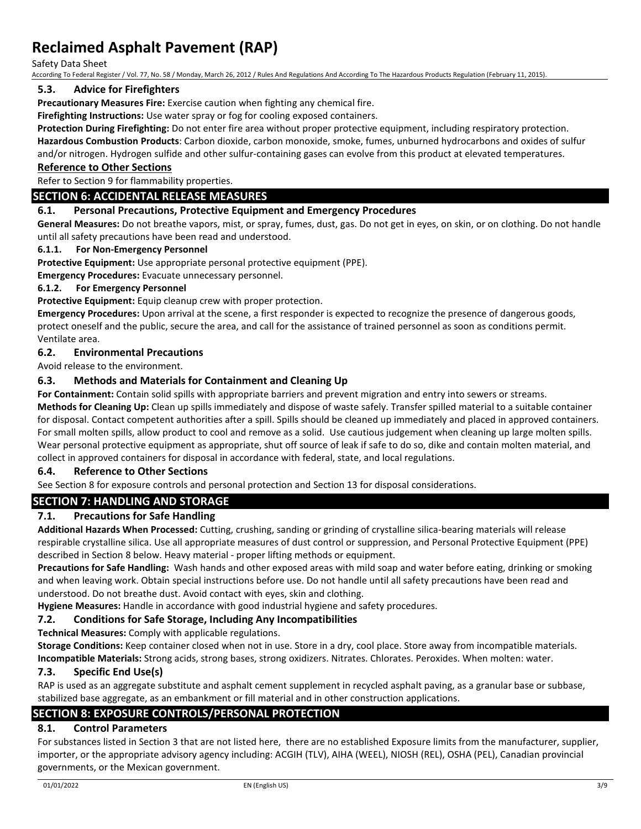Safety Data Sheet

According To Federal Register / Vol. 77, No. 58 / Monday, March 26, 2012 / Rules And Regulations And According To The Hazardous Products Regulation (February 11, 2015).

## **5.3. Advice for Firefighters**

**Precautionary Measures Fire:** Exercise caution when fighting any chemical fire.

**Firefighting Instructions:** Use water spray or fog for cooling exposed containers.

**Protection During Firefighting:** Do not enter fire area without proper protective equipment, including respiratory protection.

**Hazardous Combustion Products**: Carbon dioxide, carbon monoxide, smoke, fumes, unburned hydrocarbons and oxides of sulfur and/or nitrogen. Hydrogen sulfide and other sulfur-containing gases can evolve from this product at elevated temperatures.

#### **Reference to Other Sections**

Refer to Section 9 for flammability properties.

## **SECTION 6: ACCIDENTAL RELEASE MEASURES**

## **6.1. Personal Precautions, Protective Equipment and Emergency Procedures**

**General Measures:** Do not breathe vapors, mist, or spray, fumes, dust, gas. Do not get in eyes, on skin, or on clothing. Do not handle until all safety precautions have been read and understood.

#### **6.1.1. For Non-Emergency Personnel**

**Protective Equipment:** Use appropriate personal protective equipment (PPE).

**Emergency Procedures:** Evacuate unnecessary personnel.

## **6.1.2. For Emergency Personnel**

**Protective Equipment:** Equip cleanup crew with proper protection.

**Emergency Procedures:** Upon arrival at the scene, a first responder is expected to recognize the presence of dangerous goods, protect oneself and the public, secure the area, and call for the assistance of trained personnel as soon as conditions permit. Ventilate area.

## **6.2. Environmental Precautions**

Avoid release to the environment.

## **6.3. Methods and Materials for Containment and Cleaning Up**

**For Containment:** Contain solid spills with appropriate barriers and prevent migration and entry into sewers or streams.

**Methods for Cleaning Up:** Clean up spills immediately and dispose of waste safely. Transfer spilled material to a suitable container for disposal. Contact competent authorities after a spill. Spills should be cleaned up immediately and placed in approved containers. For small molten spills, allow product to cool and remove as a solid. Use cautious judgement when cleaning up large molten spills. Wear personal protective equipment as appropriate, shut off source of leak if safe to do so, dike and contain molten material, and collect in approved containers for disposal in accordance with federal, state, and local regulations.

## **6.4. Reference to Other Sections**

See Section 8 for exposure controls and personal protection and Section 13 for disposal considerations.

# **SECTION 7: HANDLING AND STORAGE**

## **7.1. Precautions for Safe Handling**

**Additional Hazards When Processed:** Cutting, crushing, sanding or grinding of crystalline silica-bearing materials will release respirable crystalline silica. Use all appropriate measures of dust control or suppression, and Personal Protective Equipment (PPE) described in Section 8 below. Heavy material - proper lifting methods or equipment.

**Precautions for Safe Handling:** Wash hands and other exposed areas with mild soap and water before eating, drinking or smoking and when leaving work. Obtain special instructions before use. Do not handle until all safety precautions have been read and understood. Do not breathe dust. Avoid contact with eyes, skin and clothing.

**Hygiene Measures:** Handle in accordance with good industrial hygiene and safety procedures.

## **7.2. Conditions for Safe Storage, Including Any Incompatibilities**

**Technical Measures:** Comply with applicable regulations.

**Storage Conditions:** Keep container closed when not in use. Store in a dry, cool place. Store away from incompatible materials. **Incompatible Materials:** Strong acids, strong bases, strong oxidizers. Nitrates. Chlorates. Peroxides. When molten: water.

## **7.3. Specific End Use(s)**

RAP is used as an aggregate substitute and asphalt cement supplement in recycled asphalt paving, as a granular base or subbase, stabilized base aggregate, as an embankment or fill material and in other construction applications.

## **SECTION 8: EXPOSURE CONTROLS/PERSONAL PROTECTION**

## **8.1. Control Parameters**

For substances listed in Section 3 that are not listed here, there are no established Exposure limits from the manufacturer, supplier, importer, or the appropriate advisory agency including: ACGIH (TLV), AIHA (WEEL), NIOSH (REL), OSHA (PEL), Canadian provincial governments, or the Mexican government.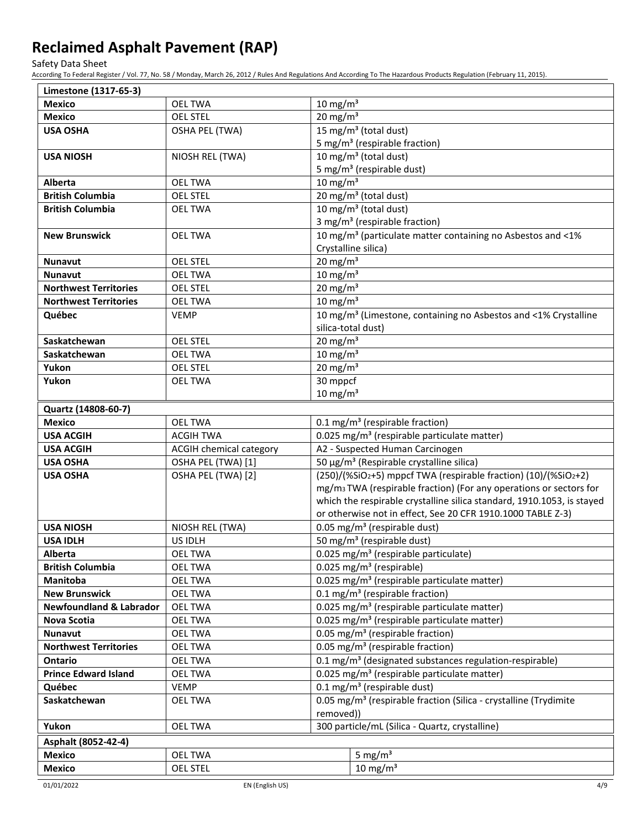Safety Data Sheet

According To Federal Register / Vol. 77, No. 58 / Monday, March 26, 2012 / Rules And Regulations And According To The Hazardous Products Regulation (February 11, 2015).

| Limestone (1317-65-3)              |                         |                                                      |                                                                                |  |
|------------------------------------|-------------------------|------------------------------------------------------|--------------------------------------------------------------------------------|--|
| <b>Mexico</b>                      | <b>OEL TWA</b>          | 10 mg/m $3$                                          |                                                                                |  |
| <b>Mexico</b>                      | <b>OEL STEL</b>         | 20 mg/m $3$                                          |                                                                                |  |
| <b>USA OSHA</b>                    | OSHA PEL (TWA)          |                                                      | 15 mg/m <sup>3</sup> (total dust)                                              |  |
|                                    |                         |                                                      | 5 mg/m <sup>3</sup> (respirable fraction)                                      |  |
| <b>USA NIOSH</b>                   | NIOSH REL (TWA)         |                                                      | 10 mg/m <sup>3</sup> (total dust)                                              |  |
|                                    |                         |                                                      | 5 mg/m <sup>3</sup> (respirable dust)                                          |  |
| <b>Alberta</b>                     | <b>OEL TWA</b>          | $10 \text{ mg/m}^3$                                  |                                                                                |  |
| <b>British Columbia</b>            | <b>OEL STEL</b>         |                                                      | 20 mg/m <sup>3</sup> (total dust)                                              |  |
| <b>British Columbia</b>            | <b>OEL TWA</b>          |                                                      | 10 mg/m <sup>3</sup> (total dust)                                              |  |
|                                    |                         |                                                      | 3 mg/m <sup>3</sup> (respirable fraction)                                      |  |
| <b>New Brunswick</b>               | <b>OEL TWA</b>          |                                                      | 10 mg/m <sup>3</sup> (particulate matter containing no Asbestos and <1%        |  |
|                                    |                         |                                                      | Crystalline silica)                                                            |  |
| <b>Nunavut</b>                     | <b>OEL STEL</b>         | $20 \text{ mg/m}^3$                                  |                                                                                |  |
| <b>Nunavut</b>                     | <b>OEL TWA</b>          | 10 mg/m $3$                                          |                                                                                |  |
| <b>Northwest Territories</b>       | <b>OEL STEL</b>         | 20 mg/m $3$                                          |                                                                                |  |
| <b>Northwest Territories</b>       | <b>OEL TWA</b>          | 10 mg/m $3$                                          |                                                                                |  |
| Québec                             | <b>VEMP</b>             |                                                      | 10 mg/m <sup>3</sup> (Limestone, containing no Asbestos and <1% Crystalline    |  |
|                                    |                         | silica-total dust)                                   |                                                                                |  |
| Saskatchewan                       | <b>OEL STEL</b>         | 20 mg/m $3$                                          |                                                                                |  |
| Saskatchewan                       | <b>OEL TWA</b>          | 10 mg/m $3$                                          |                                                                                |  |
| Yukon                              | <b>OEL STEL</b>         | 20 mg/m $3$                                          |                                                                                |  |
| Yukon                              | <b>OEL TWA</b>          | 30 mppcf                                             |                                                                                |  |
|                                    |                         | $10 \text{ mg/m}^3$                                  |                                                                                |  |
| Quartz (14808-60-7)                |                         |                                                      |                                                                                |  |
| <b>Mexico</b>                      | <b>OEL TWA</b>          |                                                      | 0.1 mg/m <sup>3</sup> (respirable fraction)                                    |  |
| <b>USA ACGIH</b>                   | <b>ACGIH TWA</b>        |                                                      | 0.025 mg/m <sup>3</sup> (respirable particulate matter)                        |  |
| <b>USA ACGIH</b>                   | ACGIH chemical category |                                                      | A2 - Suspected Human Carcinogen                                                |  |
| <b>USA OSHA</b>                    | OSHA PEL (TWA) [1]      | 50 μg/m <sup>3</sup> (Respirable crystalline silica) |                                                                                |  |
| <b>USA OSHA</b>                    | OSHA PEL (TWA) [2]      |                                                      | (250)/(%SiO2+5) mppcf TWA (respirable fraction) (10)/(%SiO2+2)                 |  |
|                                    |                         |                                                      | mg/m <sub>3</sub> TWA (respirable fraction) (For any operations or sectors for |  |
|                                    |                         |                                                      | which the respirable crystalline silica standard, 1910.1053, is stayed         |  |
|                                    |                         |                                                      | or otherwise not in effect, See 20 CFR 1910.1000 TABLE Z-3)                    |  |
| <b>USA NIOSH</b>                   | NIOSH REL (TWA)         |                                                      | 0.05 mg/m <sup>3</sup> (respirable dust)                                       |  |
| <b>USA IDLH</b>                    | US IDLH                 |                                                      | 50 mg/m <sup>3</sup> (respirable dust)                                         |  |
| Alberta                            | <b>OEL TWA</b>          |                                                      | 0.025 mg/m <sup>3</sup> (respirable particulate)                               |  |
| <b>British Columbia</b>            | OEL TWA                 |                                                      | $\overline{0.025}$ mg/m <sup>3</sup> (respirable)                              |  |
| Manitoba                           | <b>OEL TWA</b>          |                                                      | 0.025 mg/m <sup>3</sup> (respirable particulate matter)                        |  |
| <b>New Brunswick</b>               | <b>OEL TWA</b>          |                                                      | 0.1 mg/m <sup>3</sup> (respirable fraction)                                    |  |
| <b>Newfoundland &amp; Labrador</b> | <b>OEL TWA</b>          |                                                      | 0.025 mg/m <sup>3</sup> (respirable particulate matter)                        |  |
| Nova Scotia                        | <b>OEL TWA</b>          |                                                      | 0.025 mg/m <sup>3</sup> (respirable particulate matter)                        |  |
| <b>Nunavut</b>                     | <b>OEL TWA</b>          |                                                      | 0.05 mg/m <sup>3</sup> (respirable fraction)                                   |  |
| <b>Northwest Territories</b>       | <b>OEL TWA</b>          |                                                      | 0.05 mg/m <sup>3</sup> (respirable fraction)                                   |  |
| Ontario                            | <b>OEL TWA</b>          |                                                      | 0.1 mg/m <sup>3</sup> (designated substances regulation-respirable)            |  |
| <b>Prince Edward Island</b>        | <b>OEL TWA</b>          |                                                      | 0.025 mg/m <sup>3</sup> (respirable particulate matter)                        |  |
| Québec                             | <b>VEMP</b>             |                                                      | $0.1 \text{ mg/m}^3$ (respirable dust)                                         |  |
| Saskatchewan                       | <b>OEL TWA</b>          |                                                      | 0.05 mg/m <sup>3</sup> (respirable fraction (Silica - crystalline (Trydimite   |  |
|                                    |                         | removed))                                            |                                                                                |  |
| Yukon                              | <b>OEL TWA</b>          | 300 particle/mL (Silica - Quartz, crystalline)       |                                                                                |  |
| Asphalt (8052-42-4)                |                         |                                                      |                                                                                |  |
| <b>Mexico</b>                      | <b>OEL TWA</b>          |                                                      | 5 mg/ $m3$                                                                     |  |
| <b>Mexico</b>                      | <b>OEL STEL</b>         |                                                      | 10 mg/m $3$                                                                    |  |
|                                    |                         |                                                      |                                                                                |  |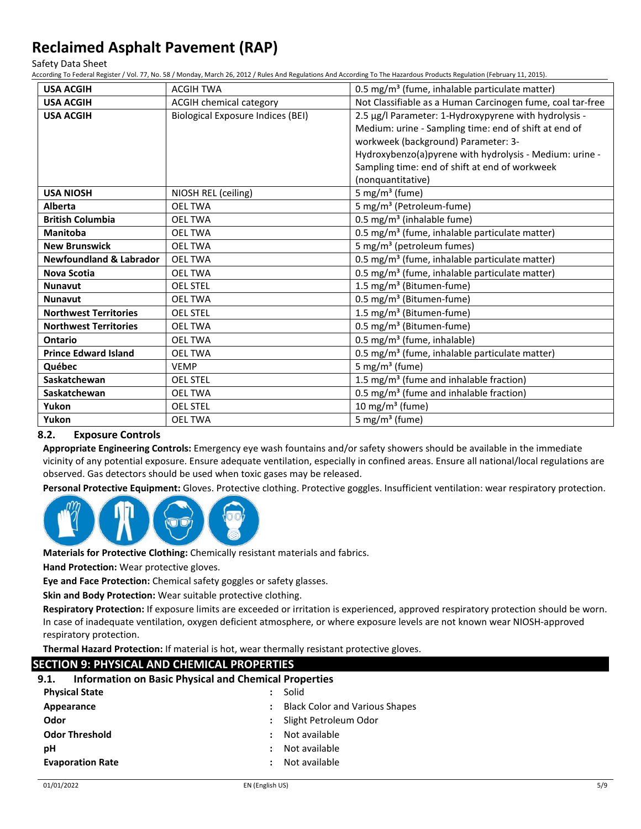Safety Data Sheet

According To Federal Register / Vol. 77, No. 58 / Monday, March 26, 2012 / Rules And Regulations And According To The Hazardous Products Regulation (February 11, 2015).

| <b>USA ACGIH</b>                   | <b>ACGIH TWA</b>                         | 0.5 mg/m <sup>3</sup> (fume, inhalable particulate matter) |
|------------------------------------|------------------------------------------|------------------------------------------------------------|
| <b>USA ACGIH</b>                   | <b>ACGIH chemical category</b>           | Not Classifiable as a Human Carcinogen fume, coal tar-free |
| <b>USA ACGIH</b>                   | <b>Biological Exposure Indices (BEI)</b> | 2.5 µg/l Parameter: 1-Hydroxypyrene with hydrolysis -      |
|                                    |                                          | Medium: urine - Sampling time: end of shift at end of      |
|                                    |                                          | workweek (background) Parameter: 3-                        |
|                                    |                                          | Hydroxybenzo(a)pyrene with hydrolysis - Medium: urine -    |
|                                    |                                          | Sampling time: end of shift at end of workweek             |
|                                    |                                          | (nonquantitative)                                          |
| <b>USA NIOSH</b>                   | NIOSH REL (ceiling)                      | 5 mg/m <sup>3</sup> (fume)                                 |
| <b>Alberta</b>                     | <b>OEL TWA</b>                           | 5 mg/m <sup>3</sup> (Petroleum-fume)                       |
| <b>British Columbia</b>            | <b>OEL TWA</b>                           | 0.5 mg/m <sup>3</sup> (inhalable fume)                     |
| <b>Manitoba</b>                    | <b>OEL TWA</b>                           | 0.5 mg/m <sup>3</sup> (fume, inhalable particulate matter) |
| <b>New Brunswick</b>               | <b>OEL TWA</b>                           | 5 mg/m <sup>3</sup> (petroleum fumes)                      |
| <b>Newfoundland &amp; Labrador</b> | <b>OEL TWA</b>                           | 0.5 mg/m <sup>3</sup> (fume, inhalable particulate matter) |
| <b>Nova Scotia</b>                 | <b>OEL TWA</b>                           | 0.5 mg/m <sup>3</sup> (fume, inhalable particulate matter) |
| <b>Nunavut</b>                     | <b>OEL STEL</b>                          | 1.5 mg/m <sup>3</sup> (Bitumen-fume)                       |
| <b>Nunavut</b>                     | <b>OEL TWA</b>                           | 0.5 mg/m <sup>3</sup> (Bitumen-fume)                       |
| <b>Northwest Territories</b>       | <b>OEL STEL</b>                          | 1.5 mg/m <sup>3</sup> (Bitumen-fume)                       |
| <b>Northwest Territories</b>       | <b>OEL TWA</b>                           | 0.5 mg/m <sup>3</sup> (Bitumen-fume)                       |
| <b>Ontario</b>                     | <b>OEL TWA</b>                           | 0.5 mg/m <sup>3</sup> (fume, inhalable)                    |
| <b>Prince Edward Island</b>        | <b>OEL TWA</b>                           | 0.5 mg/m <sup>3</sup> (fume, inhalable particulate matter) |
| Québec                             | <b>VEMP</b>                              | 5 mg/m <sup>3</sup> (fume)                                 |
| Saskatchewan                       | <b>OEL STEL</b>                          | 1.5 mg/m <sup>3</sup> (fume and inhalable fraction)        |
| Saskatchewan                       | <b>OEL TWA</b>                           | 0.5 mg/m <sup>3</sup> (fume and inhalable fraction)        |
| Yukon                              | <b>OEL STEL</b>                          | 10 mg/m <sup>3</sup> (fume)                                |
| Yukon                              | <b>OEL TWA</b>                           | 5 mg/m <sup>3</sup> (fume)                                 |

## **8.2. Exposure Controls**

**Appropriate Engineering Controls:** Emergency eye wash fountains and/or safety showers should be available in the immediate vicinity of any potential exposure. Ensure adequate ventilation, especially in confined areas. Ensure all national/local regulations are observed. Gas detectors should be used when toxic gases may be released.

**Personal Protective Equipment:** Gloves. Protective clothing. Protective goggles. Insufficient ventilation: wear respiratory protection.



**Materials for Protective Clothing:** Chemically resistant materials and fabrics.

**Hand Protection:** Wear protective gloves.

**Eye and Face Protection:** Chemical safety goggles or safety glasses.

**Skin and Body Protection:** Wear suitable protective clothing.

**Respiratory Protection:** If exposure limits are exceeded or irritation is experienced, approved respiratory protection should be worn. In case of inadequate ventilation, oxygen deficient atmosphere, or where exposure levels are not known wear NIOSH-approved respiratory protection.

**Thermal Hazard Protection:** If material is hot, wear thermally resistant protective gloves.

## **SECTION 9: PHYSICAL AND CHEMICAL PROPERTIES**

| <b>Information on Basic Physical and Chemical Properties</b><br>9.1. |  |
|----------------------------------------------------------------------|--|
|----------------------------------------------------------------------|--|

| <b>Physical State</b>   | $\mathbf{L}$         | Solid                                 |
|-------------------------|----------------------|---------------------------------------|
| Appearance              |                      | <b>Black Color and Various Shapes</b> |
| Odor                    | $\ddot{\phantom{a}}$ | Slight Petroleum Odor                 |
| <b>Odor Threshold</b>   | $\ddot{\phantom{a}}$ | Not available                         |
| рH                      | $\mathbf{r}$         | Not available                         |
| <b>Evaporation Rate</b> | $\mathbf{r}$         | Not available                         |
|                         |                      |                                       |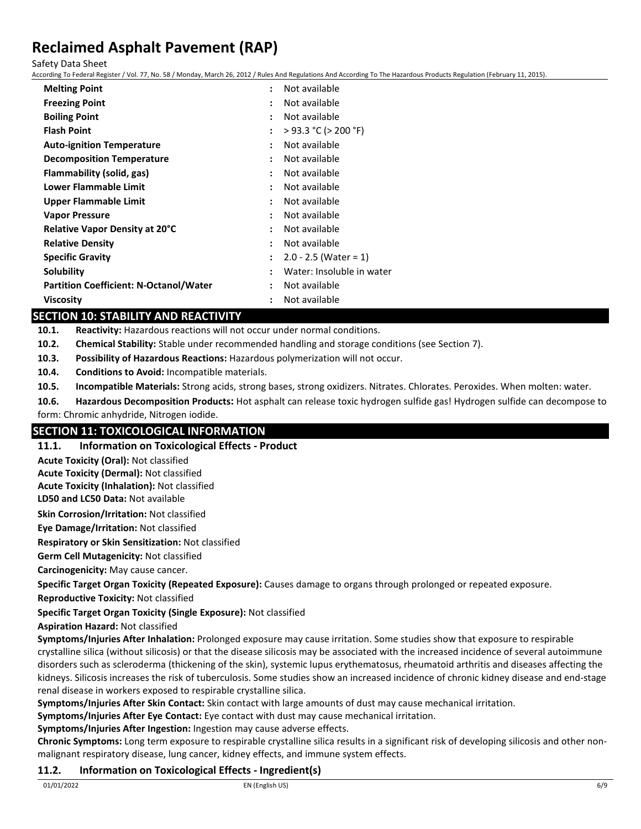Safety Data Sheet

According To Federal Register / Vol. 77, No. 58 / Monday, March 26, 2012 / Rules And Regulations And According To The Hazardous Products Regulation (February 11, 2015).

| <b>Melting Point</b>                          | Not available<br>÷                                |
|-----------------------------------------------|---------------------------------------------------|
| <b>Freezing Point</b>                         | Not available<br>$\ddot{\phantom{a}}$             |
| <b>Boiling Point</b>                          | Not available<br>:                                |
| <b>Flash Point</b>                            | $>$ 93.3 °C ( $>$ 200 °F)<br>$\ddot{\phantom{a}}$ |
| <b>Auto-ignition Temperature</b>              | Not available<br>$\ddot{\phantom{0}}$             |
| <b>Decomposition Temperature</b>              | Not available<br>÷                                |
| Flammability (solid, gas)                     | Not available<br>÷                                |
| <b>Lower Flammable Limit</b>                  | Not available<br>$\ddot{\phantom{0}}$             |
| <b>Upper Flammable Limit</b>                  | Not available<br>$\ddot{\phantom{0}}$             |
| <b>Vapor Pressure</b>                         | Not available<br>٠                                |
| Relative Vapor Density at 20°C                | Not available<br>$\ddot{\phantom{0}}$             |
| <b>Relative Density</b>                       | Not available<br>÷                                |
| <b>Specific Gravity</b>                       | $2.0 - 2.5$ (Water = 1)<br>÷                      |
| Solubility                                    | Water: Insoluble in water<br>$\ddot{\phantom{0}}$ |
| <b>Partition Coefficient: N-Octanol/Water</b> | Not available<br>$\ddot{\phantom{a}}$             |
| Viscosity                                     | Not available<br>$\ddot{\cdot}$                   |

## **SECTION 10: STABILITY AND REACTIVITY**

**10.1. Reactivity:** Hazardous reactions will not occur under normal conditions.

**10.2. Chemical Stability:** Stable under recommended handling and storage conditions (see Section 7).

**10.3. Possibility of Hazardous Reactions:** Hazardous polymerization will not occur.

**10.4. Conditions to Avoid:** Incompatible materials.

**10.5. Incompatible Materials:** Strong acids, strong bases, strong oxidizers. Nitrates. Chlorates. Peroxides. When molten: water.

**10.6. Hazardous Decomposition Products:** Hot asphalt can release toxic hydrogen sulfide gas! Hydrogen sulfide can decompose to form: Chromic anhydride, Nitrogen iodide.

# **SECTION 11: TOXICOLOGICAL INFORMATION**

**11.1. Information on Toxicological Effects - Product**

**Acute Toxicity (Oral):** Not classified

**Acute Toxicity (Dermal):** Not classified

**Acute Toxicity (Inhalation):** Not classified

**LD50 and LC50 Data:** Not available

**Skin Corrosion/Irritation:** Not classified

**Eye Damage/Irritation:** Not classified

**Respiratory or Skin Sensitization:** Not classified

**Germ Cell Mutagenicity:** Not classified

**Carcinogenicity:** May cause cancer.

**Specific Target Organ Toxicity (Repeated Exposure):** Causes damage to organs through prolonged or repeated exposure.

**Reproductive Toxicity:** Not classified

**Specific Target Organ Toxicity (Single Exposure):** Not classified

**Aspiration Hazard:** Not classified

**Symptoms/Injuries After Inhalation:** Prolonged exposure may cause irritation. Some studies show that exposure to respirable crystalline silica (without silicosis) or that the disease silicosis may be associated with the increased incidence of several autoimmune disorders such as scleroderma (thickening of the skin), systemic lupus erythematosus, rheumatoid arthritis and diseases affecting the kidneys. Silicosis increases the risk of tuberculosis. Some studies show an increased incidence of chronic kidney disease and end-stage renal disease in workers exposed to respirable crystalline silica.

**Symptoms/Injuries After Skin Contact:** Skin contact with large amounts of dust may cause mechanical irritation.

**Symptoms/Injuries After Eye Contact:** Eye contact with dust may cause mechanical irritation.

**Symptoms/Injuries After Ingestion:** Ingestion may cause adverse effects.

**Chronic Symptoms:** Long term exposure to respirable crystalline silica results in a significant risk of developing silicosis and other nonmalignant respiratory disease, lung cancer, kidney effects, and immune system effects.

## **11.2. Information on Toxicological Effects - Ingredient(s)**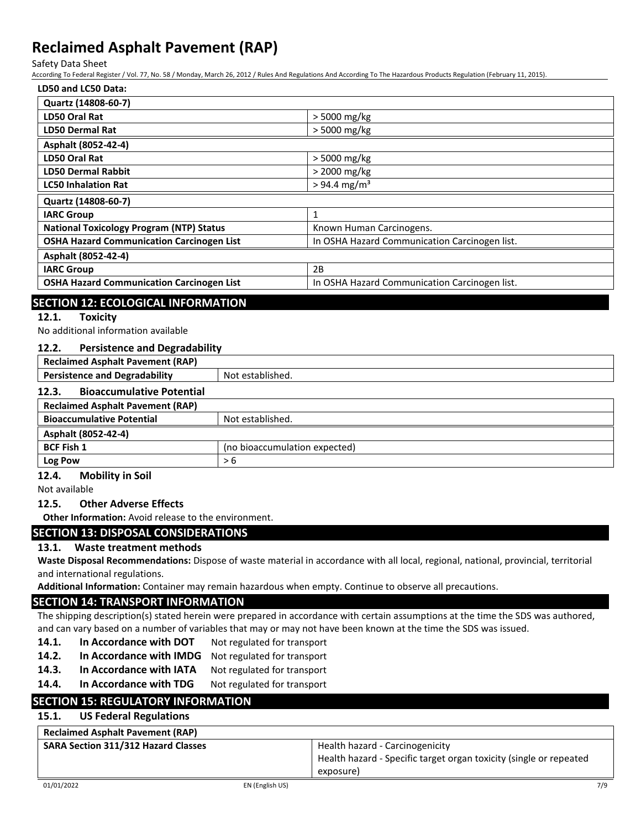Safety Data Sheet

According To Federal Register / Vol. 77, No. 58 / Monday, March 26, 2012 / Rules And Regulations And According To The Hazardous Products Regulation (February 11, 2015).

| LD50 and LC50 Data:                              |                                               |
|--------------------------------------------------|-----------------------------------------------|
| Quartz (14808-60-7)                              |                                               |
| LD50 Oral Rat                                    | > 5000 mg/kg                                  |
| <b>LD50 Dermal Rat</b>                           | > 5000 mg/kg                                  |
| Asphalt (8052-42-4)                              |                                               |
| LD50 Oral Rat                                    | > 5000 mg/kg                                  |
| <b>LD50 Dermal Rabbit</b>                        | > 2000 mg/kg                                  |
| <b>LC50 Inhalation Rat</b>                       | $> 94.4$ mg/m <sup>3</sup>                    |
| Quartz (14808-60-7)                              |                                               |
| <b>IARC Group</b>                                | $\mathbf{1}$                                  |
| <b>National Toxicology Program (NTP) Status</b>  | Known Human Carcinogens.                      |
| <b>OSHA Hazard Communication Carcinogen List</b> | In OSHA Hazard Communication Carcinogen list. |
| Asphalt (8052-42-4)                              |                                               |
| <b>IARC Group</b>                                | 2B                                            |
| <b>OSHA Hazard Communication Carcinogen List</b> | In OSHA Hazard Communication Carcinogen list. |
|                                                  |                                               |

## **SECTION 12: ECOLOGICAL INFORMATION**

## **12.1. Toxicity**

No additional information available

## **12.2. Persistence and Degradability**

| <b>Reclaimed Asphalt Pavement (RAP)</b>              |                               |
|------------------------------------------------------|-------------------------------|
| <b>Persistence and Degradability</b>                 | Not established.              |
| <b>Bioaccumulative Potential</b><br>12.3.            |                               |
| <b>Reclaimed Asphalt Pavement (RAP)</b>              |                               |
| <b>Bioaccumulative Potential</b><br>Not established. |                               |
| Asphalt (8052-42-4)                                  |                               |
| <b>BCF Fish 1</b>                                    | (no bioaccumulation expected) |
| Log Pow                                              | > 6                           |
|                                                      |                               |

## **12.4. Mobility in Soil**

Not available

## **12.5. Other Adverse Effects**

**Other Information:** Avoid release to the environment.

# **SECTION 13: DISPOSAL CONSIDERATIONS**

## **13.1. Waste treatment methods**

**Waste Disposal Recommendations:** Dispose of waste material in accordance with all local, regional, national, provincial, territorial and international regulations.

**Additional Information:** Container may remain hazardous when empty. Continue to observe all precautions.

## **SECTION 14: TRANSPORT INFORMATION**

The shipping description(s) stated herein were prepared in accordance with certain assumptions at the time the SDS was authored, and can vary based on a number of variables that may or may not have been known at the time the SDS was issued.

- **14.1. In Accordance with DOT** Not regulated for transport
- **14.2. In Accordance with IMDG** Not regulated for transport
- 14.3. In Accordance with IATA Not regulated for transport
- 14.4. In Accordance with TDG Not regulated for transport

## **SECTION 15: REGULATORY INFORMATION**

## **15.1. US Federal Regulations**

| <b>Reclaimed Asphalt Pavement (RAP)</b>    |                                                                    |
|--------------------------------------------|--------------------------------------------------------------------|
| <b>SARA Section 311/312 Hazard Classes</b> | Health hazard - Carcinogenicity                                    |
|                                            | Health hazard - Specific target organ toxicity (single or repeated |
|                                            | exposure)                                                          |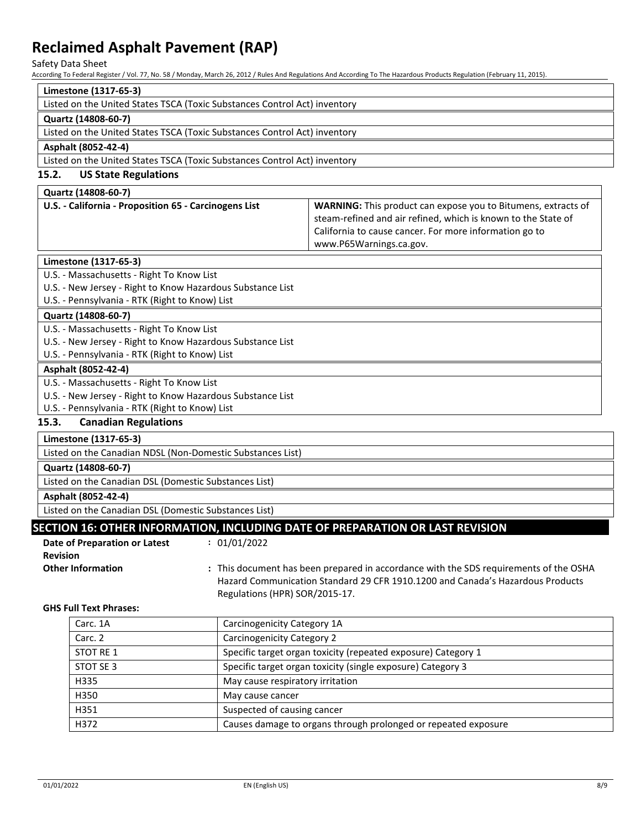Safety Data Sheet

According To Federal Register / Vol. 77, No. 58 / Monday, March 26, 2012 / Rules And Regulations And According To The Hazardous Products Regulation (February 11, 2015).

| Limestone (1317-65-3)                                                                                                                                                                                                                 |                                                            |                                                                |                                                                                                                                                                                                                     |
|---------------------------------------------------------------------------------------------------------------------------------------------------------------------------------------------------------------------------------------|------------------------------------------------------------|----------------------------------------------------------------|---------------------------------------------------------------------------------------------------------------------------------------------------------------------------------------------------------------------|
| Listed on the United States TSCA (Toxic Substances Control Act) inventory                                                                                                                                                             |                                                            |                                                                |                                                                                                                                                                                                                     |
| Quartz (14808-60-7)                                                                                                                                                                                                                   |                                                            |                                                                |                                                                                                                                                                                                                     |
| Listed on the United States TSCA (Toxic Substances Control Act) inventory                                                                                                                                                             |                                                            |                                                                |                                                                                                                                                                                                                     |
| Asphalt (8052-42-4)                                                                                                                                                                                                                   |                                                            |                                                                |                                                                                                                                                                                                                     |
| Listed on the United States TSCA (Toxic Substances Control Act) inventory                                                                                                                                                             |                                                            |                                                                |                                                                                                                                                                                                                     |
| 15.2.<br><b>US State Regulations</b>                                                                                                                                                                                                  |                                                            |                                                                |                                                                                                                                                                                                                     |
| Quartz (14808-60-7)                                                                                                                                                                                                                   |                                                            |                                                                |                                                                                                                                                                                                                     |
|                                                                                                                                                                                                                                       | U.S. - California - Proposition 65 - Carcinogens List      |                                                                | WARNING: This product can expose you to Bitumens, extracts of<br>steam-refined and air refined, which is known to the State of<br>California to cause cancer. For more information go to<br>www.P65Warnings.ca.gov. |
| Limestone (1317-65-3)                                                                                                                                                                                                                 |                                                            |                                                                |                                                                                                                                                                                                                     |
| U.S. - Massachusetts - Right To Know List                                                                                                                                                                                             |                                                            |                                                                |                                                                                                                                                                                                                     |
| U.S. - New Jersey - Right to Know Hazardous Substance List                                                                                                                                                                            |                                                            |                                                                |                                                                                                                                                                                                                     |
| U.S. - Pennsylvania - RTK (Right to Know) List                                                                                                                                                                                        |                                                            |                                                                |                                                                                                                                                                                                                     |
| Quartz (14808-60-7)                                                                                                                                                                                                                   |                                                            |                                                                |                                                                                                                                                                                                                     |
| U.S. - Massachusetts - Right To Know List                                                                                                                                                                                             |                                                            |                                                                |                                                                                                                                                                                                                     |
|                                                                                                                                                                                                                                       | U.S. - New Jersey - Right to Know Hazardous Substance List |                                                                |                                                                                                                                                                                                                     |
| U.S. - Pennsylvania - RTK (Right to Know) List                                                                                                                                                                                        |                                                            |                                                                |                                                                                                                                                                                                                     |
| Asphalt (8052-42-4)                                                                                                                                                                                                                   |                                                            |                                                                |                                                                                                                                                                                                                     |
| U.S. - Massachusetts - Right To Know List                                                                                                                                                                                             |                                                            |                                                                |                                                                                                                                                                                                                     |
| U.S. - New Jersey - Right to Know Hazardous Substance List<br>U.S. - Pennsylvania - RTK (Right to Know) List                                                                                                                          |                                                            |                                                                |                                                                                                                                                                                                                     |
| 15.3.<br><b>Canadian Regulations</b>                                                                                                                                                                                                  |                                                            |                                                                |                                                                                                                                                                                                                     |
| Limestone (1317-65-3)                                                                                                                                                                                                                 |                                                            |                                                                |                                                                                                                                                                                                                     |
| Listed on the Canadian NDSL (Non-Domestic Substances List)                                                                                                                                                                            |                                                            |                                                                |                                                                                                                                                                                                                     |
| Quartz (14808-60-7)                                                                                                                                                                                                                   |                                                            |                                                                |                                                                                                                                                                                                                     |
| Listed on the Canadian DSL (Domestic Substances List)                                                                                                                                                                                 |                                                            |                                                                |                                                                                                                                                                                                                     |
| Asphalt (8052-42-4)                                                                                                                                                                                                                   |                                                            |                                                                |                                                                                                                                                                                                                     |
| Listed on the Canadian DSL (Domestic Substances List)                                                                                                                                                                                 |                                                            |                                                                |                                                                                                                                                                                                                     |
| SECTION 16: OTHER INFORMATION, INCLUDING DATE OF PREPARATION OR LAST REVISION                                                                                                                                                         |                                                            |                                                                |                                                                                                                                                                                                                     |
| : 01/01/2022<br>Date of Preparation or Latest                                                                                                                                                                                         |                                                            |                                                                |                                                                                                                                                                                                                     |
| <b>Revision</b>                                                                                                                                                                                                                       |                                                            |                                                                |                                                                                                                                                                                                                     |
| <b>Other Information</b><br>: This document has been prepared in accordance with the SDS requirements of the OSHA<br>Hazard Communication Standard 29 CFR 1910.1200 and Canada's Hazardous Products<br>Regulations (HPR) SOR/2015-17. |                                                            |                                                                |                                                                                                                                                                                                                     |
| <b>GHS Full Text Phrases:</b>                                                                                                                                                                                                         |                                                            |                                                                |                                                                                                                                                                                                                     |
|                                                                                                                                                                                                                                       | Carc. 1A                                                   | Carcinogenicity Category 1A                                    |                                                                                                                                                                                                                     |
|                                                                                                                                                                                                                                       | Carc. 2                                                    | Carcinogenicity Category 2                                     |                                                                                                                                                                                                                     |
|                                                                                                                                                                                                                                       | STOT RE 1                                                  |                                                                | Specific target organ toxicity (repeated exposure) Category 1                                                                                                                                                       |
|                                                                                                                                                                                                                                       | STOT SE 3                                                  |                                                                | Specific target organ toxicity (single exposure) Category 3                                                                                                                                                         |
|                                                                                                                                                                                                                                       | H335                                                       | May cause respiratory irritation                               |                                                                                                                                                                                                                     |
|                                                                                                                                                                                                                                       | H350                                                       | May cause cancer                                               |                                                                                                                                                                                                                     |
|                                                                                                                                                                                                                                       | H351                                                       | Suspected of causing cancer                                    |                                                                                                                                                                                                                     |
| H372                                                                                                                                                                                                                                  |                                                            | Causes damage to organs through prolonged or repeated exposure |                                                                                                                                                                                                                     |
|                                                                                                                                                                                                                                       |                                                            |                                                                |                                                                                                                                                                                                                     |